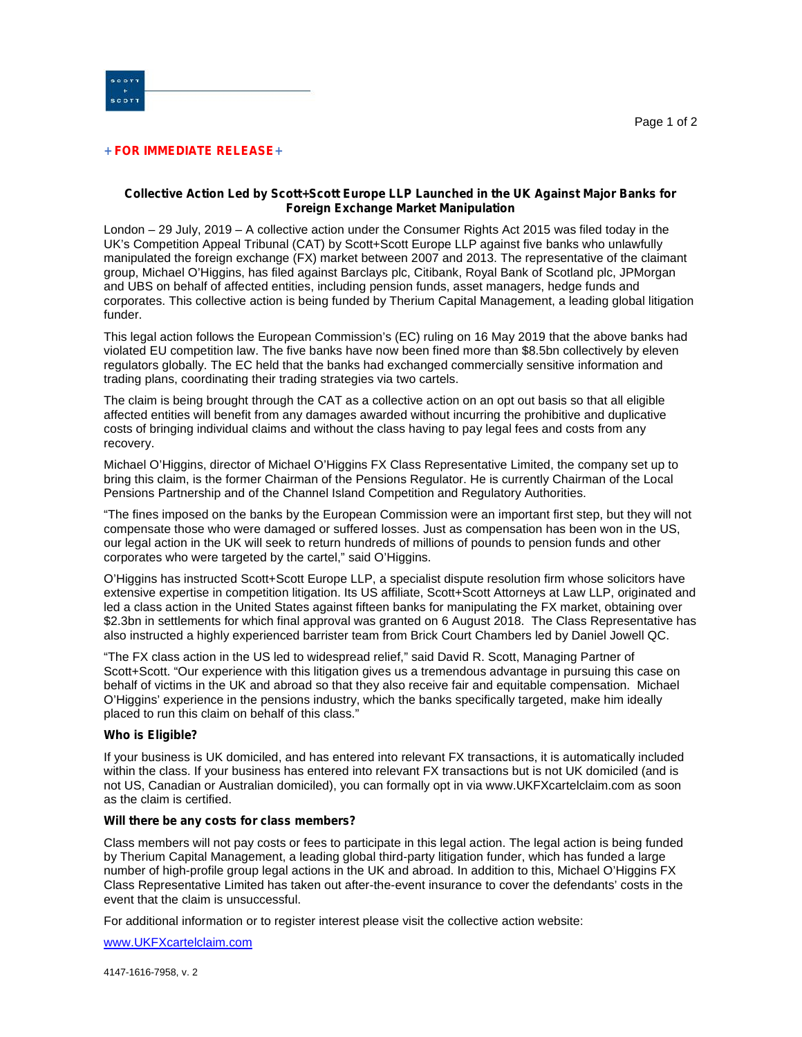

### **+ FOR IMMEDIATE RELEASE+**

# **Collective Action Led by Scott+Scott Europe LLP Launched in the UK Against Major Banks for Foreign Exchange Market Manipulation**

London – 29 July, 2019 – A collective action under the Consumer Rights Act 2015 was filed today in the UK's Competition Appeal Tribunal (CAT) by Scott+Scott Europe LLP against five banks who unlawfully manipulated the foreign exchange (FX) market between 2007 and 2013. The representative of the claimant group, Michael O'Higgins, has filed against Barclays plc, Citibank, Royal Bank of Scotland plc, JPMorgan and UBS on behalf of affected entities, including pension funds, asset managers, hedge funds and corporates. This collective action is being funded by Therium Capital Management, a leading global litigation funder.

This legal action follows the European Commission's (EC) ruling on 16 May 2019 that the above banks had violated EU competition law. The five banks have now been fined more than \$8.5bn collectively by eleven regulators globally. The EC held that the banks had exchanged commercially sensitive information and trading plans, coordinating their trading strategies via two cartels.

The claim is being brought through the CAT as a collective action on an opt out basis so that all eligible affected entities will benefit from any damages awarded without incurring the prohibitive and duplicative costs of bringing individual claims and without the class having to pay legal fees and costs from any recovery.

Michael O'Higgins, director of Michael O'Higgins FX Class Representative Limited, the company set up to bring this claim, is the former Chairman of the Pensions Regulator. He is currently Chairman of the Local Pensions Partnership and of the Channel Island Competition and Regulatory Authorities.

"The fines imposed on the banks by the European Commission were an important first step, but they will not compensate those who were damaged or suffered losses. Just as compensation has been won in the US, our legal action in the UK will seek to return hundreds of millions of pounds to pension funds and other corporates who were targeted by the cartel," said O'Higgins.

O'Higgins has instructed Scott+Scott Europe LLP, a specialist dispute resolution firm whose solicitors have extensive expertise in competition litigation. Its US affiliate, Scott+Scott Attorneys at Law LLP, originated and led a class action in the United States against fifteen banks for manipulating the FX market, obtaining over \$2.3bn in settlements for which final approval was granted on 6 August 2018. The Class Representative has also instructed a highly experienced barrister team from Brick Court Chambers led by Daniel Jowell QC.

"The FX class action in the US led to widespread relief," said David R. Scott, Managing Partner of Scott+Scott. "Our experience with this litigation gives us a tremendous advantage in pursuing this case on behalf of victims in the UK and abroad so that they also receive fair and equitable compensation. Michael O'Higgins' experience in the pensions industry, which the banks specifically targeted, make him ideally placed to run this claim on behalf of this class."

# **Who is Eligible?**

If your business is UK domiciled, and has entered into relevant FX transactions, it is automatically included within the class. If your business has entered into relevant FX transactions but is not UK domiciled (and is not US, Canadian or Australian domiciled), you can formally opt in via www.UKFXcartelclaim.com as soon as the claim is certified.

### **Will there be any costs for class members?**

Class members will not pay costs or fees to participate in this legal action. The legal action is being funded by Therium Capital Management, a leading global third-party litigation funder, which has funded a large number of high-profile group legal actions in the UK and abroad. In addition to this, Michael O'Higgins FX Class Representative Limited has taken out after-the-event insurance to cover the defendants' costs in the event that the claim is unsuccessful.

For additional information or to register interest please visit the collective action website:

www.UKFXcartelclaim.com